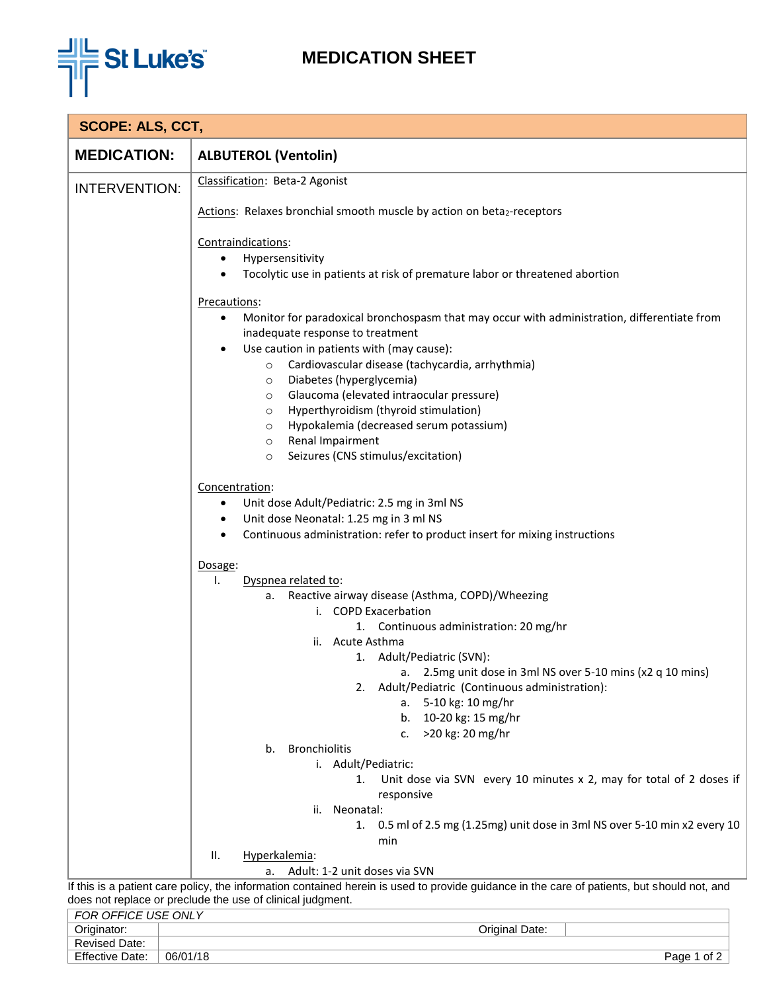

## **MEDICATION SHEET**

| <b>SCOPE: ALS, CCT,</b>                                                                                                                                                                                   |                                                                                                                                                                                                                                                                                                                                                                                                                                                                                                                                                          |
|-----------------------------------------------------------------------------------------------------------------------------------------------------------------------------------------------------------|----------------------------------------------------------------------------------------------------------------------------------------------------------------------------------------------------------------------------------------------------------------------------------------------------------------------------------------------------------------------------------------------------------------------------------------------------------------------------------------------------------------------------------------------------------|
| <b>MEDICATION:</b>                                                                                                                                                                                        | <b>ALBUTEROL (Ventolin)</b>                                                                                                                                                                                                                                                                                                                                                                                                                                                                                                                              |
| <b>INTERVENTION:</b>                                                                                                                                                                                      | Classification: Beta-2 Agonist                                                                                                                                                                                                                                                                                                                                                                                                                                                                                                                           |
|                                                                                                                                                                                                           | Actions: Relaxes bronchial smooth muscle by action on beta2-receptors                                                                                                                                                                                                                                                                                                                                                                                                                                                                                    |
|                                                                                                                                                                                                           | Contraindications:<br>Hypersensitivity<br>Tocolytic use in patients at risk of premature labor or threatened abortion                                                                                                                                                                                                                                                                                                                                                                                                                                    |
|                                                                                                                                                                                                           | Precautions:<br>Monitor for paradoxical bronchospasm that may occur with administration, differentiate from<br>٠<br>inadequate response to treatment<br>Use caution in patients with (may cause):<br>Cardiovascular disease (tachycardia, arrhythmia)<br>$\circ$<br>Diabetes (hyperglycemia)<br>$\circ$<br>Glaucoma (elevated intraocular pressure)<br>$\circ$<br>Hyperthyroidism (thyroid stimulation)<br>$\circ$<br>Hypokalemia (decreased serum potassium)<br>$\circ$<br>Renal Impairment<br>$\circ$<br>Seizures (CNS stimulus/excitation)<br>$\circ$ |
|                                                                                                                                                                                                           | Concentration:<br>Unit dose Adult/Pediatric: 2.5 mg in 3ml NS<br>٠<br>Unit dose Neonatal: 1.25 mg in 3 ml NS<br>٠<br>Continuous administration: refer to product insert for mixing instructions                                                                                                                                                                                                                                                                                                                                                          |
|                                                                                                                                                                                                           | Dosage:<br>Dyspnea related to:<br>ı.<br>Reactive airway disease (Asthma, COPD)/Wheezing<br>а.<br>i. COPD Exacerbation<br>1. Continuous administration: 20 mg/hr<br>ii. Acute Asthma<br>1. Adult/Pediatric (SVN):<br>a. $2.5$ mg unit dose in 3ml NS over 5-10 mins (x2 q 10 mins)<br>Adult/Pediatric (Continuous administration):<br>5-10 kg: 10 mg/hr<br>а. -<br>10-20 kg: 15 mg/hr<br>b.<br>>20 kg: 20 mg/hr<br>c.<br><b>Bronchiolitis</b><br>b.<br>i. Adult/Pediatric:<br>Unit dose via SVN every 10 minutes x 2, may for total of 2 doses if<br>1.   |
|                                                                                                                                                                                                           | responsive<br>ii. Neonatal:<br>1. 0.5 ml of 2.5 mg (1.25mg) unit dose in 3ml NS over 5-10 min x2 every 10<br>min<br>Hyperkalemia:<br>Ш.                                                                                                                                                                                                                                                                                                                                                                                                                  |
| Adult: 1-2 unit doses via SVN<br>a.                                                                                                                                                                       |                                                                                                                                                                                                                                                                                                                                                                                                                                                                                                                                                          |
| If this is a patient care policy, the information contained herein is used to provide guidance in the care of patients, but should not, and<br>does not replace or preclude the use of clinical judgment. |                                                                                                                                                                                                                                                                                                                                                                                                                                                                                                                                                          |
| FOR OFFICE USE ONLY                                                                                                                                                                                       |                                                                                                                                                                                                                                                                                                                                                                                                                                                                                                                                                          |

Revised Date: Effective Date: 06/01/18 Page 1 of 2

Originator: Original Date: